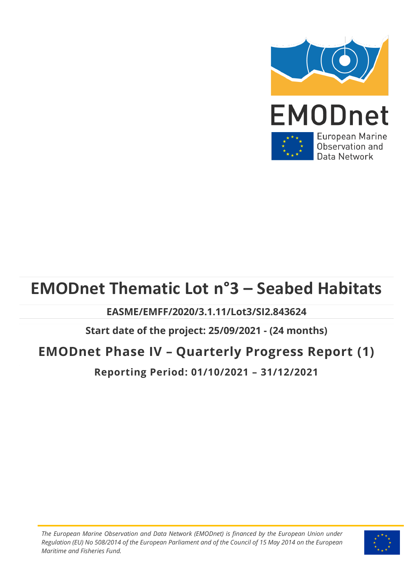

# **EMODnet Thematic Lot n°3 – Seabed Habitats**

### **EASME/EMFF/2020/3.1.11/Lot3/SI2.843624**

**Start date of the project: 25/09/2021 - (24 months)** 

### **EMODnet Phase IV – Quarterly Progress Report (1)**

**Reporting Period: 01/10/2021 – 31/12/2021**

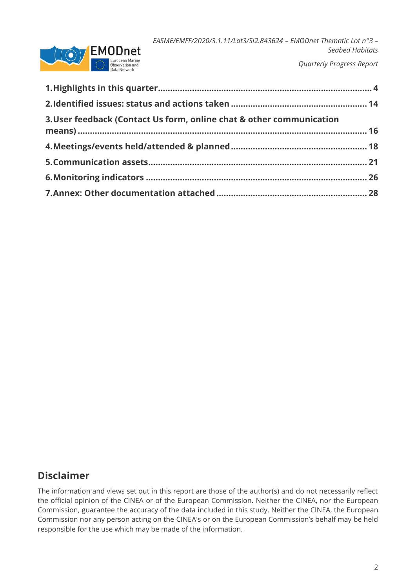

| 3. User feedback (Contact Us form, online chat & other communication |  |
|----------------------------------------------------------------------|--|
|                                                                      |  |
|                                                                      |  |
|                                                                      |  |
|                                                                      |  |

### **Disclaimer**

The information and views set out in this report are those of the author(s) and do not necessarily reflect the official opinion of the CINEA or of the European Commission. Neither the CINEA, nor the European Commission, guarantee the accuracy of the data included in this study. Neither the CINEA, the European Commission nor any person acting on the CINEA's or on the European Commission's behalf may be held responsible for the use which may be made of the information.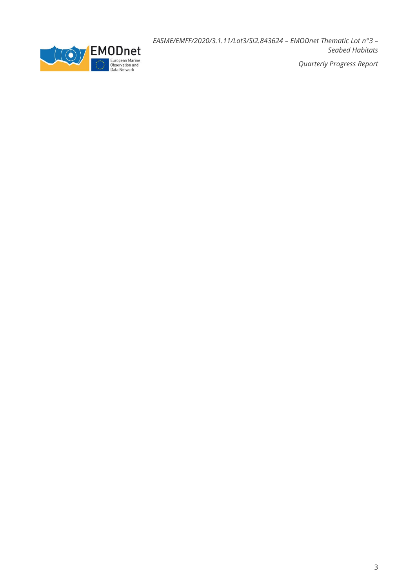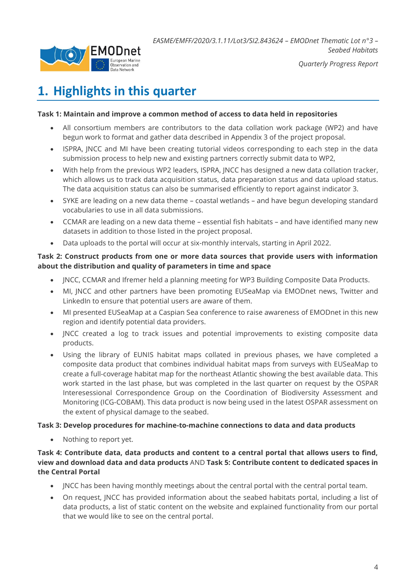

# <span id="page-3-0"></span>**1. Highlights in this quarter**

#### **Task 1: Maintain and improve a common method of access to data held in repositories**

- All consortium members are contributors to the data collation work package (WP2) and have begun work to format and gather data described in Appendix 3 of the project proposal.
- ISPRA, JNCC and MI have been creating tutorial videos corresponding to each step in the data submission process to help new and existing partners correctly submit data to WP2,
- With help from the previous WP2 leaders, ISPRA, JNCC has designed a new data collation tracker, which allows us to track data acquisition status, data preparation status and data upload status. The data acquisition status can also be summarised efficiently to report against indicator 3.
- SYKE are leading on a new data theme coastal wetlands and have begun developing standard vocabularies to use in all data submissions.
- CCMAR are leading on a new data theme essential fish habitats and have identified many new datasets in addition to those listed in the project proposal.
- Data uploads to the portal will occur at six-monthly intervals, starting in April 2022.

#### **Task 2: Construct products from one or more data sources that provide users with information about the distribution and quality of parameters in time and space**

- JNCC, CCMAR and Ifremer held a planning meeting for WP3 Building Composite Data Products.
- MI, JNCC and other partners have been promoting EUSeaMap via EMODnet news, Twitter and LinkedIn to ensure that potential users are aware of them.
- MI presented EUSeaMap at a Caspian Sea conference to raise awareness of EMODnet in this new region and identify potential data providers.
- JNCC created a log to track issues and potential improvements to existing composite data products.
- Using the library of EUNIS habitat maps collated in previous phases, we have completed a composite data product that combines individual habitat maps from surveys with EUSeaMap to create a full-coverage habitat map for the northeast Atlantic showing the best available data. This work started in the last phase, but was completed in the last quarter on request by the OSPAR Interesessional Correspondence Group on the Coordination of Biodiversity Assessment and Monitoring (ICG-COBAM). This data product is now being used in the latest OSPAR assessment on the extent of physical damage to the seabed.

#### **Task 3: Develop procedures for machine-to-machine connections to data and data products**

• Nothing to report yet.

#### **Task 4: Contribute data, data products and content to a central portal that allows users to find, view and download data and data products** AND **Task 5: Contribute content to dedicated spaces in the Central Portal**

- INCC has been having monthly meetings about the central portal with the central portal team.
- On request, JNCC has provided information about the seabed habitats portal, including a list of data products, a list of static content on the website and explained functionality from our portal that we would like to see on the central portal.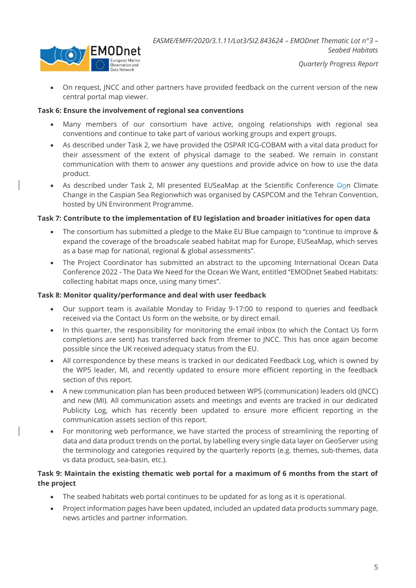

 On request, JNCC and other partners have provided feedback on the current version of the new central portal map viewer.

#### **Task 6: Ensure the involvement of regional sea conventions**

- Many members of our consortium have active, ongoing relationships with regional sea conventions and continue to take part of various working groups and expert groups.
- As described under Task 2, we have provided the OSPAR ICG-COBAM with a vital data product for their assessment of the extent of physical damage to the seabed. We remain in constant communication with them to answer any questions and provide advice on how to use the data product.
- As described under Task 2, MI presented EUSeaMap at the Scientific Conference  $\Theta_{\Omega}$  Climate Change in the Caspian Sea Regionwhich was organised by CASPCOM and the Tehran Convention, hosted by UN Environment Programme.

#### **Task 7: Contribute to the implementation of EU legislation and broader initiatives for open data**

- The consortium has submitted a pledge to the Make EU Blue campaign to "continue to improve & expand the coverage of the broadscale seabed habitat map for Europe, EUSeaMap, which serves as a base map for national, regional & global assessments".
- The Project Coordinator has submitted an abstract to the upcoming International Ocean Data Conference 2022 - The Data We Need for the Ocean We Want, entitled "EMODnet Seabed Habitats: collecting habitat maps once, using many times".

#### **Task 8: Monitor quality/performance and deal with user feedback**

- Our support team is available Monday to Friday 9-17:00 to respond to queries and feedback received via the Contact Us form on the website, or by direct email.
- In this quarter, the responsibility for monitoring the email inbox (to which the Contact Us form completions are sent) has transferred back from Ifremer to JNCC. This has once again become possible since the UK received adequacy status from the EU.
- All correspondence by these means is tracked in our dedicated Feedback Log, which is owned by the WP5 leader, MI, and recently updated to ensure more efficient reporting in the feedback section of this report.
- A new communication plan has been produced between WP5 (communication) leaders old (JNCC) and new (MI). All communication assets and meetings and events are tracked in our dedicated Publicity Log, which has recently been updated to ensure more efficient reporting in the communication assets section of this report.
- For monitoring web performance, we have started the process of streamlining the reporting of data and data product trends on the portal, by labelling every single data layer on GeoServer using the terminology and categories required by the quarterly reports (e.g. themes, sub-themes, data vs data product, sea-basin, etc.).

#### **Task 9: Maintain the existing thematic web portal for a maximum of 6 months from the start of the project**

- The seabed habitats web portal continues to be updated for as long as it is operational.
- Project information pages have been updated, included an updated data products summary page, news articles and partner information.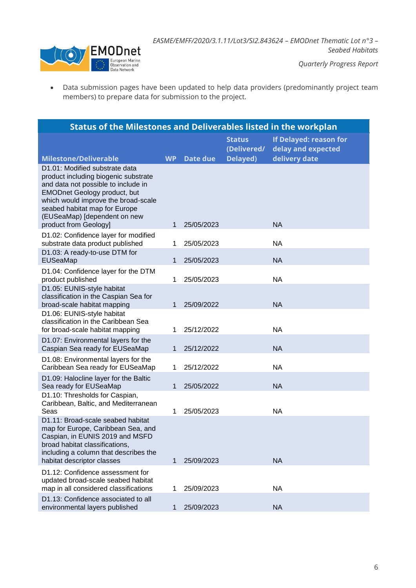

 Data submission pages have been updated to help data providers (predominantly project team members) to prepare data for submission to the project.

| <b>Status of the Milestones and Deliverables listed in the workplan</b>                                                                                                                                                                                                               |              |                 |                              |                                              |  |  |
|---------------------------------------------------------------------------------------------------------------------------------------------------------------------------------------------------------------------------------------------------------------------------------------|--------------|-----------------|------------------------------|----------------------------------------------|--|--|
|                                                                                                                                                                                                                                                                                       |              |                 | <b>Status</b><br>(Delivered/ | If Delayed: reason for<br>delay and expected |  |  |
| <b>Milestone/Deliverable</b>                                                                                                                                                                                                                                                          | <b>WP</b>    | <b>Date due</b> | Delayed)                     | delivery date                                |  |  |
| D1.01: Modified substrate data<br>product including biogenic substrate<br>and data not possible to include in<br><b>EMODnet Geology product, but</b><br>which would improve the broad-scale<br>seabed habitat map for Europe<br>(EUSeaMap) [dependent on new<br>product from Geology] | 1            | 25/05/2023      |                              | <b>NA</b>                                    |  |  |
| D1.02: Confidence layer for modified<br>substrate data product published                                                                                                                                                                                                              | 1            | 25/05/2023      |                              | <b>NA</b>                                    |  |  |
| D1.03: A ready-to-use DTM for<br><b>EUSeaMap</b>                                                                                                                                                                                                                                      | 1            | 25/05/2023      |                              | <b>NA</b>                                    |  |  |
| D1.04: Confidence layer for the DTM<br>product published                                                                                                                                                                                                                              | 1            | 25/05/2023      |                              | <b>NA</b>                                    |  |  |
| D1.05: EUNIS-style habitat<br>classification in the Caspian Sea for<br>broad-scale habitat mapping<br>D1.06: EUNIS-style habitat                                                                                                                                                      | 1            | 25/09/2022      |                              | <b>NA</b>                                    |  |  |
| classification in the Caribbean Sea<br>for broad-scale habitat mapping                                                                                                                                                                                                                | 1            | 25/12/2022      |                              | <b>NA</b>                                    |  |  |
| D1.07: Environmental layers for the<br>Caspian Sea ready for EUSeaMap                                                                                                                                                                                                                 | 1            | 25/12/2022      |                              | <b>NA</b>                                    |  |  |
| D1.08: Environmental layers for the<br>Caribbean Sea ready for EUSeaMap                                                                                                                                                                                                               | $\mathbf{1}$ | 25/12/2022      |                              | <b>NA</b>                                    |  |  |
| D1.09: Halocline layer for the Baltic<br>Sea ready for EUSeaMap                                                                                                                                                                                                                       | 1            | 25/05/2022      |                              | <b>NA</b>                                    |  |  |
| D1.10: Thresholds for Caspian,<br>Caribbean, Baltic, and Mediterranean<br>Seas                                                                                                                                                                                                        | 1            | 25/05/2023      |                              | <b>NA</b>                                    |  |  |
| D1.11: Broad-scale seabed habitat<br>map for Europe, Caribbean Sea, and<br>Caspian, in EUNIS 2019 and MSFD<br>broad habitat classifications,<br>including a column that describes the<br>habitat descriptor classes                                                                   | $\mathbf 1$  | 25/09/2023      |                              | <b>NA</b>                                    |  |  |
| D1.12: Confidence assessment for<br>updated broad-scale seabed habitat<br>map in all considered classifications                                                                                                                                                                       | 1            | 25/09/2023      |                              | <b>NA</b>                                    |  |  |
| D1.13: Confidence associated to all<br>environmental layers published                                                                                                                                                                                                                 | 1            | 25/09/2023      |                              | <b>NA</b>                                    |  |  |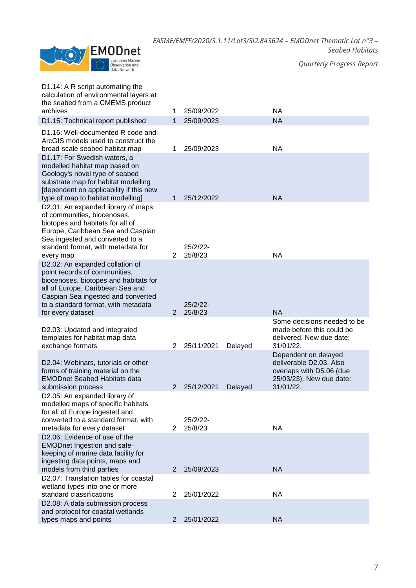

| D1.14: A R script automating the<br>calculation of environmental layers at<br>the seabed from a CMEMS product<br>archives                                                                                                                                | 1              | 25/09/2022             |         | <b>NA</b>                                                                                                            |
|----------------------------------------------------------------------------------------------------------------------------------------------------------------------------------------------------------------------------------------------------------|----------------|------------------------|---------|----------------------------------------------------------------------------------------------------------------------|
| D1.15: Technical report published                                                                                                                                                                                                                        | 1              | 25/09/2023             |         | <b>NA</b>                                                                                                            |
| D1.16: Well-documented R code and<br>ArcGIS models used to construct the<br>broad-scale seabed habitat map                                                                                                                                               | 1              | 25/09/2023             |         | <b>NA</b>                                                                                                            |
| D1.17: For Swedish waters, a<br>modelled habitat map based on<br>Geology's novel type of seabed<br>substrate map for habitat modelling<br>[dependent on applicability if this new                                                                        |                |                        |         | <b>NA</b>                                                                                                            |
| type of map to habitat modelling]<br>D2.01: An expanded library of maps<br>of communities, biocenoses,<br>biotopes and habitats for all of<br>Europe, Caribbean Sea and Caspian<br>Sea ingested and converted to a<br>standard format, with metadata for | 1              | 25/12/2022<br>25/2/22- |         |                                                                                                                      |
| every map                                                                                                                                                                                                                                                | 2              | 25/8/23                |         | <b>NA</b>                                                                                                            |
| D2.02: An expanded collation of<br>point records of communities,<br>biocenoses, biotopes and habitats for<br>all of Europe, Caribbean Sea and<br>Caspian Sea ingested and converted<br>to a standard format, with metadata<br>for every dataset          | 2              | 25/2/22-<br>25/8/23    |         | <b>NA</b>                                                                                                            |
| D2.03: Updated and integrated<br>templates for habitat map data<br>exchange formats                                                                                                                                                                      | 2              | 25/11/2021             | Delayed | Some decisions needed to be<br>made before this could be<br>delivered. New due date:<br>31/01/22.                    |
| D2.04: Webinars, tutorials or other<br>forms of training material on the<br><b>EMODnet Seabed Habitats data</b><br>submission process                                                                                                                    | 2              | 25/12/2021             | Delayed | Dependent on delayed<br>deliverable D2.03. Also<br>overlaps with D5.06 (due<br>25/03/23). New due date:<br>31/01/22. |
| D2.05: An expanded library of<br>modelled maps of specific habitats<br>for all of Europe ingested and<br>converted to a standard format, with<br>metadata for every dataset                                                                              | 2              | 25/2/22-<br>25/8/23    |         | <b>NA</b>                                                                                                            |
| D2.06: Evidence of use of the<br><b>EMODnet Ingestion and safe-</b><br>keeping of marine data facility for<br>ingesting data points, maps and<br>models from third parties                                                                               | 2              | 25/09/2023             |         | <b>NA</b>                                                                                                            |
| D2.07: Translation tables for coastal<br>wetland types into one or more<br>standard classifications                                                                                                                                                      | $\overline{2}$ | 25/01/2022             |         | <b>NA</b>                                                                                                            |
| D2.08: A data submission process<br>and protocol for coastal wetlands<br>types maps and points                                                                                                                                                           | 2              | 25/01/2022             |         | <b>NA</b>                                                                                                            |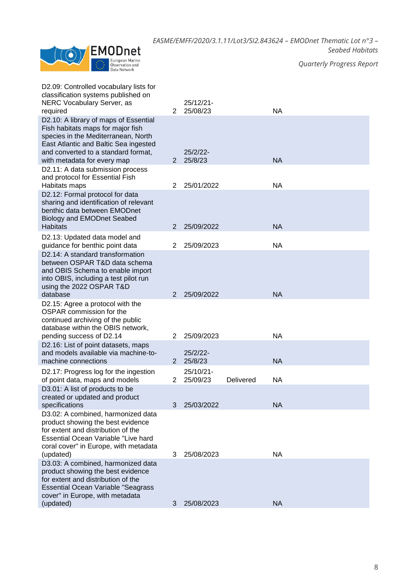



| D2.09: Controlled vocabulary lists for<br>classification systems published on<br>NERC Vocabulary Server, as<br>required                                                                                                          | $\overline{2}$ | 25/12/21-<br>25/08/23 |           | <b>NA</b> |
|----------------------------------------------------------------------------------------------------------------------------------------------------------------------------------------------------------------------------------|----------------|-----------------------|-----------|-----------|
| D2.10: A library of maps of Essential<br>Fish habitats maps for major fish<br>species in the Mediterranean, North<br>East Atlantic and Baltic Sea ingested<br>and converted to a standard format,<br>with metadata for every map | 2              | 25/2/22-<br>25/8/23   |           | <b>NA</b> |
| D2.11: A data submission process<br>and protocol for Essential Fish<br>Habitats maps                                                                                                                                             | 2              | 25/01/2022            |           | <b>NA</b> |
| D2.12: Formal protocol for data<br>sharing and identification of relevant<br>benthic data between EMODnet<br><b>Biology and EMODnet Seabed</b><br><b>Habitats</b>                                                                | 2              | 25/09/2022            |           | <b>NA</b> |
| D2.13: Updated data model and                                                                                                                                                                                                    |                |                       |           |           |
| guidance for benthic point data                                                                                                                                                                                                  | 2              | 25/09/2023            |           | <b>NA</b> |
| D2.14: A standard transformation<br>between OSPAR T&D data schema<br>and OBIS Schema to enable import<br>into OBIS, including a test pilot run<br>using the 2022 OSPAR T&D<br>database                                           | $\overline{2}$ | 25/09/2022            |           | <b>NA</b> |
| D2.15: Agree a protocol with the<br>OSPAR commission for the<br>continued archiving of the public<br>database within the OBIS network,                                                                                           |                |                       |           |           |
| pending success of D2.14<br>D2.16: List of point datasets, maps                                                                                                                                                                  | 2              | 25/09/2023            |           | <b>NA</b> |
| and models available via machine-to-<br>machine connections                                                                                                                                                                      | 2              | 25/2/22-<br>25/8/23   |           | <b>NA</b> |
| D2.17: Progress log for the ingestion<br>of point data, maps and models                                                                                                                                                          | 2              | 25/10/21-<br>25/09/23 | Delivered | <b>NA</b> |
| D3.01: A list of products to be<br>created or updated and product<br>specifications                                                                                                                                              | 3              | 25/03/2022            |           | <b>NA</b> |
| D3.02: A combined, harmonized data<br>product showing the best evidence<br>for extent and distribution of the<br>Essential Ocean Variable "Live hard<br>coral cover" in Europe, with metadata                                    |                |                       |           |           |
| (updated)                                                                                                                                                                                                                        | 3              | 25/08/2023            |           | <b>NA</b> |
| D3.03: A combined, harmonized data<br>product showing the best evidence<br>for extent and distribution of the<br><b>Essential Ocean Variable "Seagrass</b><br>cover" in Europe, with metadata<br>(updated)                       | 3              | 25/08/2023            |           | <b>NA</b> |
|                                                                                                                                                                                                                                  |                |                       |           |           |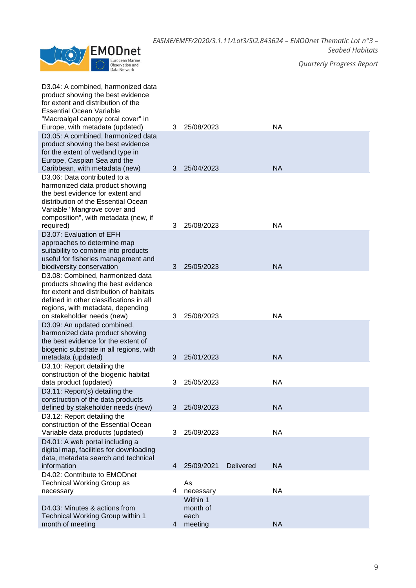

| D3.04: A combined, harmonized data<br>product showing the best evidence<br>for extent and distribution of the<br><b>Essential Ocean Variable</b><br>"Macroalgal canopy coral cover" in                             |                |                       |                  |           |
|--------------------------------------------------------------------------------------------------------------------------------------------------------------------------------------------------------------------|----------------|-----------------------|------------------|-----------|
| Europe, with metadata (updated)<br>D3.05: A combined, harmonized data                                                                                                                                              | 3              | 25/08/2023            |                  | <b>NA</b> |
| product showing the best evidence<br>for the extent of wetland type in                                                                                                                                             |                |                       |                  |           |
| Europe, Caspian Sea and the<br>Caribbean, with metadata (new)                                                                                                                                                      | 3              | 25/04/2023            |                  | <b>NA</b> |
| D3.06: Data contributed to a<br>harmonized data product showing<br>the best evidence for extent and<br>distribution of the Essential Ocean<br>Variable "Mangrove cover and<br>composition", with metadata (new, if |                |                       |                  |           |
| required)                                                                                                                                                                                                          | 3              | 25/08/2023            |                  | <b>NA</b> |
| D3.07: Evaluation of EFH<br>approaches to determine map<br>suitability to combine into products<br>useful for fisheries management and                                                                             |                |                       |                  |           |
| biodiversity conservation                                                                                                                                                                                          | 3              | 25/05/2023            |                  | <b>NA</b> |
| D3.08: Combined, harmonized data<br>products showing the best evidence<br>for extent and distribution of habitats<br>defined in other classifications in all<br>regions, with metadata, depending                  |                |                       |                  |           |
| on stakeholder needs (new)<br>D3.09: An updated combined,                                                                                                                                                          | 3              | 25/08/2023            |                  | <b>NA</b> |
| harmonized data product showing<br>the best evidence for the extent of<br>biogenic substrate in all regions, with                                                                                                  |                |                       |                  |           |
| metadata (updated)                                                                                                                                                                                                 | 3              | 25/01/2023            |                  | <b>NA</b> |
| D3.10: Report detailing the<br>construction of the biogenic habitat<br>data product (updated)                                                                                                                      | 3              | 25/05/2023            |                  | <b>NA</b> |
| D3.11: Report(s) detailing the                                                                                                                                                                                     |                |                       |                  |           |
| construction of the data products<br>defined by stakeholder needs (new)                                                                                                                                            | 3              | 25/09/2023            |                  | <b>NA</b> |
| D3.12: Report detailing the<br>construction of the Essential Ocean<br>Variable data products (updated)                                                                                                             | 3              | 25/09/2023            |                  | <b>NA</b> |
| D4.01: A web portal including a<br>digital map, facilities for downloading                                                                                                                                         |                |                       |                  |           |
| data, metadata search and technical<br>information                                                                                                                                                                 | $\overline{4}$ | 25/09/2021            | <b>Delivered</b> | <b>NA</b> |
| D4.02: Contribute to EMODnet<br><b>Technical Working Group as</b>                                                                                                                                                  | 4              | As                    |                  | <b>NA</b> |
| necessary                                                                                                                                                                                                          |                | necessary<br>Within 1 |                  |           |
| D4.03: Minutes & actions from<br>Technical Working Group within 1                                                                                                                                                  |                | month of<br>each      |                  |           |
| month of meeting                                                                                                                                                                                                   | 4              | meeting               |                  | <b>NA</b> |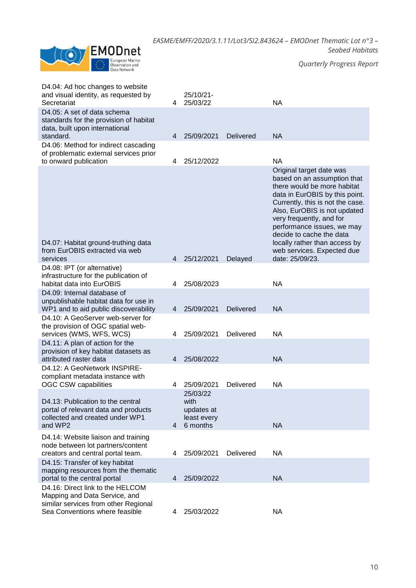| D4.04: Ad hoc changes to website<br>and visual identity, as requested by<br>Secretariat                                                     | 4              | 25/10/21-<br>25/03/22                                     |                  | <b>NA</b>                                                                                                                                                                                                                                                                                                                                                            |
|---------------------------------------------------------------------------------------------------------------------------------------------|----------------|-----------------------------------------------------------|------------------|----------------------------------------------------------------------------------------------------------------------------------------------------------------------------------------------------------------------------------------------------------------------------------------------------------------------------------------------------------------------|
| D4.05: A set of data schema<br>standards for the provision of habitat<br>data, built upon international<br>standard.                        | $\overline{4}$ | 25/09/2021                                                | <b>Delivered</b> | <b>NA</b>                                                                                                                                                                                                                                                                                                                                                            |
| D4.06: Method for indirect cascading                                                                                                        |                |                                                           |                  |                                                                                                                                                                                                                                                                                                                                                                      |
| of problematic external services prior<br>to onward publication                                                                             | 4              | 25/12/2022                                                |                  | <b>NA</b>                                                                                                                                                                                                                                                                                                                                                            |
| D4.07: Habitat ground-truthing data<br>from EurOBIS extracted via web<br>services                                                           | 4              | 25/12/2021                                                | Delayed          | Original target date was<br>based on an assumption that<br>there would be more habitat<br>data in EurOBIS by this point.<br>Currently, this is not the case.<br>Also, EurOBIS is not updated<br>very frequently, and for<br>performance issues, we may<br>decide to cache the data<br>locally rather than access by<br>web services. Expected due<br>date: 25/09/23. |
| D4.08: IPT (or alternative)                                                                                                                 |                |                                                           |                  |                                                                                                                                                                                                                                                                                                                                                                      |
| infrastructure for the publication of<br>habitat data into EurOBIS                                                                          | 4              | 25/08/2023                                                |                  | <b>NA</b>                                                                                                                                                                                                                                                                                                                                                            |
| D4.09: Internal database of<br>unpublishable habitat data for use in<br>WP1 and to aid public discoverability                               | 4              | 25/09/2021                                                | <b>Delivered</b> | <b>NA</b>                                                                                                                                                                                                                                                                                                                                                            |
| D4.10: A GeoServer web-server for<br>the provision of OGC spatial web-<br>services (WMS, WFS, WCS)                                          | 4              | 25/09/2021                                                | Delivered        | <b>NA</b>                                                                                                                                                                                                                                                                                                                                                            |
| D4.11: A plan of action for the<br>provision of key habitat datasets as                                                                     |                |                                                           |                  |                                                                                                                                                                                                                                                                                                                                                                      |
| attributed raster data<br>D4.12: A GeoNetwork INSPIRE-                                                                                      | 4              | 25/08/2022                                                |                  | <b>NA</b>                                                                                                                                                                                                                                                                                                                                                            |
| compliant metadata instance with<br>OGC CSW capabilities                                                                                    | 4              | 25/09/2021                                                | <b>Delivered</b> | <b>NA</b>                                                                                                                                                                                                                                                                                                                                                            |
| D4.13: Publication to the central<br>portal of relevant data and products<br>collected and created under WP1<br>and WP2                     | 4              | 25/03/22<br>with<br>updates at<br>least every<br>6 months |                  | <b>NA</b>                                                                                                                                                                                                                                                                                                                                                            |
| D4.14: Website liaison and training                                                                                                         |                |                                                           |                  |                                                                                                                                                                                                                                                                                                                                                                      |
| node between lot partners/content<br>creators and central portal team.<br>D4.15: Transfer of key habitat                                    | 4              | 25/09/2021                                                | Delivered        | <b>NA</b>                                                                                                                                                                                                                                                                                                                                                            |
| mapping resources from the thematic<br>portal to the central portal                                                                         | 4              | 25/09/2022                                                |                  | <b>NA</b>                                                                                                                                                                                                                                                                                                                                                            |
| D4.16: Direct link to the HELCOM<br>Mapping and Data Service, and<br>similar services from other Regional<br>Sea Conventions where feasible | 4              | 25/03/2022                                                |                  | <b>NA</b>                                                                                                                                                                                                                                                                                                                                                            |

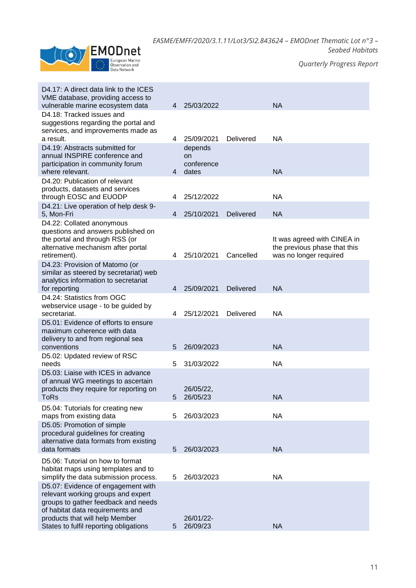

| D4.17: A direct data link to the ICES<br>VME database, providing access to<br>vulnerable marine ecosystem data | 4 | 25/03/2022                  |                  | <b>NA</b>                                                   |
|----------------------------------------------------------------------------------------------------------------|---|-----------------------------|------------------|-------------------------------------------------------------|
| D4.18: Tracked issues and<br>suggestions regarding the portal and<br>services, and improvements made as        |   |                             |                  |                                                             |
| a result.                                                                                                      | 4 | 25/09/2021                  | Delivered        | <b>NA</b>                                                   |
| D4.19: Abstracts submitted for<br>annual INSPIRE conference and<br>participation in community forum            |   | depends<br>on<br>conference |                  |                                                             |
| where relevant.<br>D4.20: Publication of relevant<br>products, datasets and services                           | 4 | dates                       |                  | <b>NA</b>                                                   |
| through EOSC and EUODP                                                                                         | 4 | 25/12/2022                  |                  | <b>NA</b>                                                   |
| D4.21: Live operation of help desk 9-                                                                          |   |                             |                  |                                                             |
| 5, Mon-Fri                                                                                                     | 4 | 25/10/2021                  | <b>Delivered</b> | <b>NA</b>                                                   |
| D4.22: Collated anonymous                                                                                      |   |                             |                  |                                                             |
| questions and answers published on                                                                             |   |                             |                  |                                                             |
| the portal and through RSS (or<br>alternative mechanism after portal                                           |   |                             |                  | It was agreed with CINEA in<br>the previous phase that this |
| retirement).                                                                                                   | 4 | 25/10/2021                  | Cancelled        | was no longer required                                      |
| D4.23: Provision of Matomo (or                                                                                 |   |                             |                  |                                                             |
| similar as steered by secretariat) web                                                                         |   |                             |                  |                                                             |
| analytics information to secretariat                                                                           |   |                             |                  |                                                             |
| for reporting                                                                                                  | 4 | 25/09/2021                  | <b>Delivered</b> | <b>NA</b>                                                   |
| D4.24: Statistics from OGC                                                                                     |   |                             |                  |                                                             |
| webservice usage - to be guided by<br>secretariat.                                                             | 4 | 25/12/2021                  | Delivered        | <b>NA</b>                                                   |
| D5.01: Evidence of efforts to ensure                                                                           |   |                             |                  |                                                             |
| maximum coherence with data                                                                                    |   |                             |                  |                                                             |
| delivery to and from regional sea                                                                              |   |                             |                  |                                                             |
| conventions                                                                                                    | 5 | 26/09/2023                  |                  | <b>NA</b>                                                   |
| D5.02: Updated review of RSC                                                                                   |   |                             |                  |                                                             |
| needs                                                                                                          | 5 | 31/03/2022                  |                  | <b>NA</b>                                                   |
| D5.03: Liaise with ICES in advance<br>of annual WG meetings to ascertain                                       |   |                             |                  |                                                             |
| products they require for reporting on                                                                         |   | 26/05/22,                   |                  |                                                             |
| <b>ToRs</b>                                                                                                    | 5 | 26/05/23                    |                  | <b>NA</b>                                                   |
| D5.04: Tutorials for creating new                                                                              |   |                             |                  |                                                             |
| maps from existing data                                                                                        | 5 | 26/03/2023                  |                  | <b>NA</b>                                                   |
| D5.05: Promotion of simple                                                                                     |   |                             |                  |                                                             |
| procedural guidelines for creating                                                                             |   |                             |                  |                                                             |
| alternative data formats from existing                                                                         |   |                             |                  |                                                             |
| data formats                                                                                                   | 5 | 26/03/2023                  |                  | <b>NA</b>                                                   |
| D5.06: Tutorial on how to format                                                                               |   |                             |                  |                                                             |
| habitat maps using templates and to                                                                            | 5 | 26/03/2023                  |                  | <b>NA</b>                                                   |
| simplify the data submission process.<br>D5.07: Evidence of engagement with                                    |   |                             |                  |                                                             |
| relevant working groups and expert                                                                             |   |                             |                  |                                                             |
| groups to gather feedback and needs                                                                            |   |                             |                  |                                                             |
| of habitat data requirements and                                                                               |   |                             |                  |                                                             |
| products that will help Member                                                                                 |   | 26/01/22-                   |                  |                                                             |
| States to fulfil reporting obligations                                                                         | 5 | 26/09/23                    |                  | <b>NA</b>                                                   |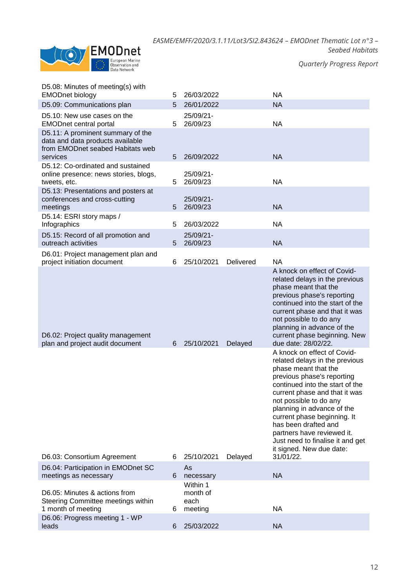

| D5.08: Minutes of meeting(s) with<br><b>EMODnet biology</b>                                                           | 5 | 26/03/2022                              |           | <b>NA</b>                                                                                                                                                                                                                                                                                                                                                                                            |
|-----------------------------------------------------------------------------------------------------------------------|---|-----------------------------------------|-----------|------------------------------------------------------------------------------------------------------------------------------------------------------------------------------------------------------------------------------------------------------------------------------------------------------------------------------------------------------------------------------------------------------|
| D5.09: Communications plan                                                                                            | 5 | 26/01/2022                              |           | <b>NA</b>                                                                                                                                                                                                                                                                                                                                                                                            |
| D5.10: New use cases on the<br><b>EMODnet central portal</b>                                                          | 5 | 25/09/21-<br>26/09/23                   |           | <b>NA</b>                                                                                                                                                                                                                                                                                                                                                                                            |
| D5.11: A prominent summary of the<br>data and data products available<br>from EMODnet seabed Habitats web<br>services | 5 | 26/09/2022                              |           | <b>NA</b>                                                                                                                                                                                                                                                                                                                                                                                            |
| D5.12: Co-ordinated and sustained<br>online presence: news stories, blogs,<br>tweets, etc.                            | 5 | 25/09/21-<br>26/09/23                   |           | <b>NA</b>                                                                                                                                                                                                                                                                                                                                                                                            |
| D5.13: Presentations and posters at<br>conferences and cross-cutting<br>meetings                                      | 5 | 25/09/21-<br>26/09/23                   |           | <b>NA</b>                                                                                                                                                                                                                                                                                                                                                                                            |
| D5.14: ESRI story maps /<br>Infographics                                                                              | 5 | 26/03/2022                              |           | <b>NA</b>                                                                                                                                                                                                                                                                                                                                                                                            |
| D5.15: Record of all promotion and<br>outreach activities                                                             | 5 | 25/09/21-<br>26/09/23                   |           | <b>NA</b>                                                                                                                                                                                                                                                                                                                                                                                            |
| D6.01: Project management plan and<br>project initiation document                                                     | 6 | 25/10/2021                              | Delivered | <b>NA</b>                                                                                                                                                                                                                                                                                                                                                                                            |
| D6.02: Project quality management<br>plan and project audit document                                                  | 6 | 25/10/2021                              | Delayed   | A knock on effect of Covid-<br>related delays in the previous<br>phase meant that the<br>previous phase's reporting<br>continued into the start of the<br>current phase and that it was<br>not possible to do any<br>planning in advance of the<br>current phase beginning. New<br>due date: 28/02/22.                                                                                               |
|                                                                                                                       |   |                                         |           | A knock on effect of Covid-<br>related delays in the previous<br>phase meant that the<br>previous phase's reporting<br>continued into the start of the<br>current phase and that it was<br>not possible to do any<br>planning in advance of the<br>current phase beginning. It<br>has been drafted and<br>partners have reviewed it.<br>Just need to finalise it and get<br>it signed. New due date: |
| D6.03: Consortium Agreement                                                                                           | 6 | 25/10/2021                              | Delayed   | 31/01/22.                                                                                                                                                                                                                                                                                                                                                                                            |
| D6.04: Participation in EMODnet SC<br>meetings as necessary                                                           | 6 | As<br>necessary                         |           | <b>NA</b>                                                                                                                                                                                                                                                                                                                                                                                            |
| D6.05: Minutes & actions from<br>Steering Committee meetings within<br>1 month of meeting                             | 6 | Within 1<br>month of<br>each<br>meeting |           | <b>NA</b>                                                                                                                                                                                                                                                                                                                                                                                            |
| D6.06: Progress meeting 1 - WP<br>leads                                                                               | 6 | 25/03/2022                              |           | <b>NA</b>                                                                                                                                                                                                                                                                                                                                                                                            |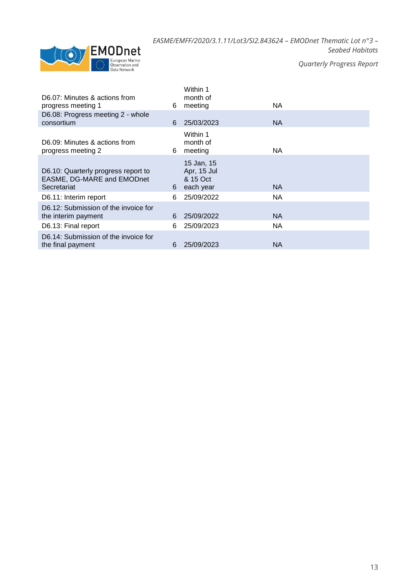

| 6 | month of<br>meeting                                | ΝA        |
|---|----------------------------------------------------|-----------|
| 6 | 25/03/2023                                         | <b>NA</b> |
| 6 | Within 1<br>month of<br>meeting                    | NА        |
| 6 | 15 Jan, 15<br>Apr, 15 Jul<br>& 15 Oct<br>each year | NA.       |
| 6 | 25/09/2022                                         | NA        |
| 6 | 25/09/2022                                         | ΝA        |
| 6 | 25/09/2023                                         | NA        |
| 6 | 25/09/2023                                         | ΝA        |
|   |                                                    | Within 1  |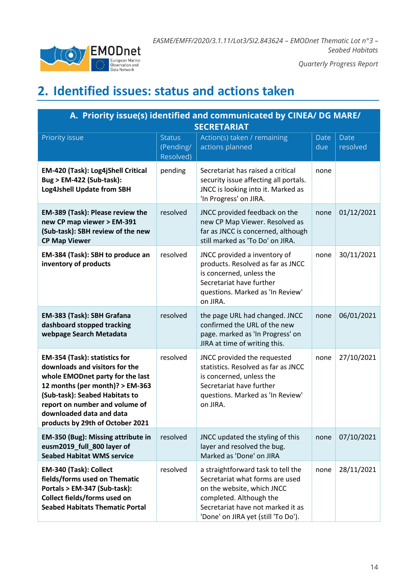

## <span id="page-13-0"></span>**2. Identified issues: status and actions taken**

| A. Priority issue(s) identified and communicated by CINEA/ DG MARE/<br><b>SECRETARIAT</b>                                                                                                                                                                                  |                                         |                                                                                                                                                                                                            |                    |                         |  |  |  |  |
|----------------------------------------------------------------------------------------------------------------------------------------------------------------------------------------------------------------------------------------------------------------------------|-----------------------------------------|------------------------------------------------------------------------------------------------------------------------------------------------------------------------------------------------------------|--------------------|-------------------------|--|--|--|--|
| Priority issue                                                                                                                                                                                                                                                             | <b>Status</b><br>(Pending/<br>Resolved) | Action(s) taken / remaining<br>actions planned                                                                                                                                                             | <b>Date</b><br>due | <b>Date</b><br>resolved |  |  |  |  |
| EM-420 (Task): Log4jShell Critical<br>Bug > EM-422 (Sub-task):<br>Log4Jshell Update from SBH                                                                                                                                                                               | pending                                 | Secretariat has raised a critical<br>security issue affecting all portals.<br>JNCC is looking into it. Marked as<br>'In Progress' on JIRA.                                                                 | none               |                         |  |  |  |  |
| EM-389 (Task): Please review the<br>new CP map viewer > EM-391<br>(Sub-task): SBH review of the new<br><b>CP Map Viewer</b>                                                                                                                                                | resolved                                | JNCC provided feedback on the<br>new CP Map Viewer. Resolved as<br>far as JNCC is concerned, although<br>still marked as 'To Do' on JIRA.                                                                  | none               | 01/12/2021              |  |  |  |  |
| EM-384 (Task): SBH to produce an<br>inventory of products                                                                                                                                                                                                                  | resolved                                | JNCC provided a inventory of<br>products. Resolved as far as JNCC<br>is concerned, unless the<br>Secretariat have further<br>questions. Marked as 'In Review'<br>on JIRA.                                  | none               | 30/11/2021              |  |  |  |  |
| EM-383 (Task): SBH Grafana<br>dashboard stopped tracking<br>webpage Search Metadata                                                                                                                                                                                        | resolved                                | the page URL had changed. JNCC<br>confirmed the URL of the new<br>page. marked as 'In Progress' on<br>JIRA at time of writing this.                                                                        | none               | 06/01/2021              |  |  |  |  |
| EM-354 (Task): statistics for<br>downloads and visitors for the<br>whole EMODnet party for the last<br>12 months (per month)? > EM-363<br>(Sub-task): Seabed Habitats to<br>report on number and volume of<br>downloaded data and data<br>products by 29th of October 2021 | resolved                                | JNCC provided the requested<br>statistics. Resolved as far as JNCC<br>is concerned, unless the<br>Secretariat have further<br>questions. Marked as 'In Review'<br>on JIRA.                                 | none               | 27/10/2021              |  |  |  |  |
| EM-350 (Bug): Missing attribute in<br>eusm2019_full_800 layer of<br><b>Seabed Habitat WMS service</b>                                                                                                                                                                      | resolved                                | JNCC updated the styling of this<br>layer and resolved the bug.<br>Marked as 'Done' on JIRA                                                                                                                | none               | 07/10/2021              |  |  |  |  |
| EM-340 (Task): Collect<br>fields/forms used on Thematic<br>Portals > EM-347 (Sub-task):<br>Collect fields/forms used on<br><b>Seabed Habitats Thematic Portal</b>                                                                                                          | resolved                                | a straightforward task to tell the<br>Secretariat what forms are used<br>on the website, which JNCC<br>completed. Although the<br>Secretariat have not marked it as<br>'Done' on JIRA yet (still 'To Do'). | none               | 28/11/2021              |  |  |  |  |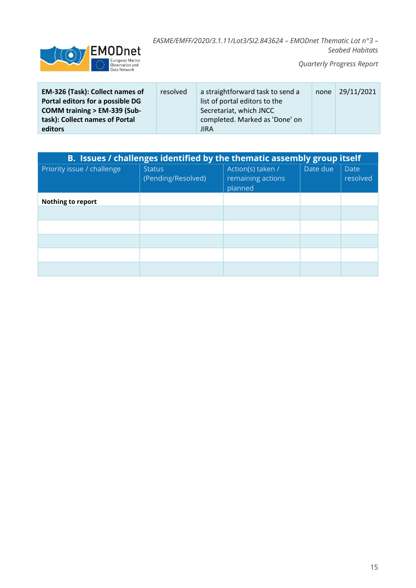

| EM-326 (Task): Collect names of<br>Portal editors for a possible DG | resolved | a straightforward task to send a<br>list of portal editors to the | $none$ 29/11/2021 |
|---------------------------------------------------------------------|----------|-------------------------------------------------------------------|-------------------|
| COMM training > EM-339 (Sub-                                        |          | Secretariat, which JNCC                                           |                   |
| task): Collect names of Portal                                      |          | completed. Marked as 'Done' on                                    |                   |
| editors                                                             |          | <b>JIRA</b>                                                       |                   |

| B. Issues / challenges identified by the thematic assembly group itself |                                     |                                                   |          |                         |  |  |  |  |
|-------------------------------------------------------------------------|-------------------------------------|---------------------------------------------------|----------|-------------------------|--|--|--|--|
| Priority issue / challenge                                              | <b>Status</b><br>(Pending/Resolved) | Action(s) taken /<br>remaining actions<br>planned | Date due | <b>Date</b><br>resolved |  |  |  |  |
| <b>Nothing to report</b>                                                |                                     |                                                   |          |                         |  |  |  |  |
|                                                                         |                                     |                                                   |          |                         |  |  |  |  |
|                                                                         |                                     |                                                   |          |                         |  |  |  |  |
|                                                                         |                                     |                                                   |          |                         |  |  |  |  |
|                                                                         |                                     |                                                   |          |                         |  |  |  |  |
|                                                                         |                                     |                                                   |          |                         |  |  |  |  |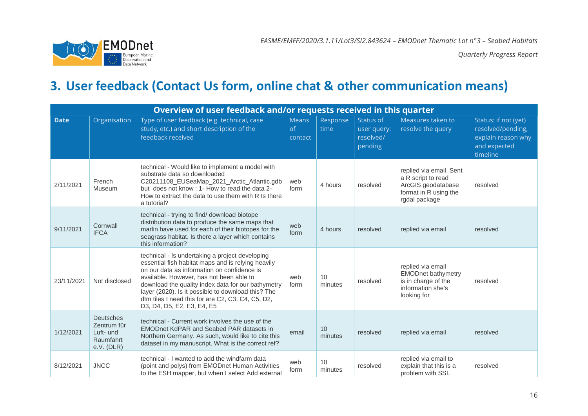

### **3. User feedback (Contact Us form, online chat & other communication means)**

<span id="page-15-0"></span>

|             | Overview of user feedback and/or requests received in this quarter      |                                                                                                                                                                                                                                                                                                                                                                                                 |                               |                  |                                                  |                                                                                                               |                                                                                             |  |  |
|-------------|-------------------------------------------------------------------------|-------------------------------------------------------------------------------------------------------------------------------------------------------------------------------------------------------------------------------------------------------------------------------------------------------------------------------------------------------------------------------------------------|-------------------------------|------------------|--------------------------------------------------|---------------------------------------------------------------------------------------------------------------|---------------------------------------------------------------------------------------------|--|--|
| <b>Date</b> | Organisation                                                            | Type of user feedback (e.g. technical, case<br>study, etc.) and short description of the<br>feedback received                                                                                                                                                                                                                                                                                   | <b>Means</b><br>of<br>contact | Response<br>time | Status of<br>user query:<br>resolved/<br>pending | Measures taken to<br>resolve the query                                                                        | Status: if not (yet)<br>resolved/pending,<br>explain reason why<br>and expected<br>timeline |  |  |
| 2/11/2021   | French<br>Museum                                                        | technical - Would like to implement a model with<br>substrate data so downloaded<br>C20211108_EUSeaMap_2021_Arctic_Atlantic.gdb<br>but does not know: 1- How to read the data 2-<br>How to extract the data to use them with R Is there<br>a tutorial?                                                                                                                                          | web<br>form                   | 4 hours          | resolved                                         | replied via email. Sent<br>a R script to read<br>ArcGIS geodatabase<br>format in R using the<br>rgdal package | resolved                                                                                    |  |  |
| 9/11/2021   | Cornwall<br><b>IFCA</b>                                                 | technical - trying to find/ download biotope<br>distribution data to produce the same maps that<br>marlin have used for each of their biotopes for the<br>seagrass habitat. Is there a layer which contains<br>this information?                                                                                                                                                                | web<br>form                   | 4 hours          | resolved                                         | replied via email                                                                                             | resolved                                                                                    |  |  |
| 23/11/2021  | Not disclosed                                                           | technical - Is undertaking a project developing<br>essential fish habitat maps and is relying heavily<br>on our data as information on confidence is<br>available. However, has not been able to<br>download the quality index data for our bathymetry<br>layer (2020). Is it possible to download this? The<br>dtm tiles I need this for are C2, C3, C4, C5, D2,<br>D3, D4, D5, E2, E3, E4, E5 | web<br>form                   | 10<br>minutes    | resolved                                         | replied via email<br><b>EMODnet bathymetry</b><br>is in charge of the<br>information she's<br>looking for     | resolved                                                                                    |  |  |
| 1/12/2021   | <b>Deutsches</b><br>Zentrum für<br>Luft- und<br>Raumfahrt<br>e.V. (DLR) | technical - Current work involves the use of the<br>EMODnet KdPAR and Seabed PAR datasets in<br>Northern Germany. As such, would like to cite this<br>dataset in my manuscript. What is the correct ref?                                                                                                                                                                                        | email                         | 10<br>minutes    | resolved                                         | replied via email                                                                                             | resolved                                                                                    |  |  |
| 8/12/2021   | <b>JNCC</b>                                                             | technical - I wanted to add the windfarm data<br>(point and polys) from EMODnet Human Activities<br>to the ESH mapper, but when I select Add external                                                                                                                                                                                                                                           | web<br>form                   | 10<br>minutes    | resolved                                         | replied via email to<br>explain that this is a<br>problem with SSL                                            | resolved                                                                                    |  |  |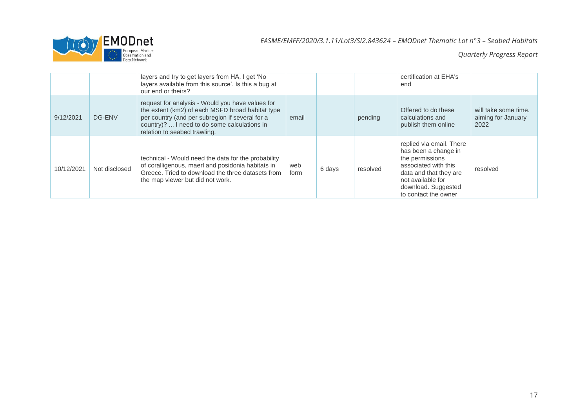

|            |               | layers and try to get layers from HA, I get 'No<br>layers available from this source'. Is this a bug at<br>our end or theirs?                                                                                                           |             |        |          | certification at EHA's<br>end                                                                                                                                                             |                                                    |
|------------|---------------|-----------------------------------------------------------------------------------------------------------------------------------------------------------------------------------------------------------------------------------------|-------------|--------|----------|-------------------------------------------------------------------------------------------------------------------------------------------------------------------------------------------|----------------------------------------------------|
| 9/12/2021  | DG-ENV        | request for analysis - Would you have values for<br>the extent (km2) of each MSFD broad habitat type<br>per country (and per subregion if several for a<br>country)?  I need to do some calculations in<br>relation to seabed trawling. | email       |        | pending  | Offered to do these<br>calculations and<br>publish them online                                                                                                                            | will take some time.<br>aiming for January<br>2022 |
| 10/12/2021 | Not disclosed | technical - Would need the data for the probability<br>of coralligenous, maerl and posidonia habitats in<br>Greece. Tried to download the three datasets from<br>the map viewer but did not work.                                       | web<br>form | 6 days | resolved | replied via email. There<br>has been a change in<br>the permissions<br>associated with this<br>data and that they are<br>not available for<br>download. Suggested<br>to contact the owner | resolved                                           |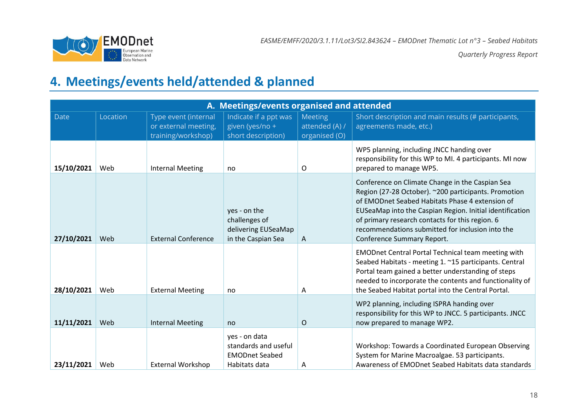

## **4. Meetings/events held/attended & planned**

<span id="page-17-0"></span>

|             | A. Meetings/events organised and attended |                                                                    |                                                                                 |                                                   |                                                                                                                                                                                                                                                                                                                                                             |  |  |
|-------------|-------------------------------------------|--------------------------------------------------------------------|---------------------------------------------------------------------------------|---------------------------------------------------|-------------------------------------------------------------------------------------------------------------------------------------------------------------------------------------------------------------------------------------------------------------------------------------------------------------------------------------------------------------|--|--|
| <b>Date</b> | Location                                  | Type event (internal<br>or external meeting,<br>training/workshop) | Indicate if a ppt was<br>given (yes/no +<br>short description)                  | <b>Meeting</b><br>attended (A) /<br>organised (O) | Short description and main results (# participants,<br>agreements made, etc.)                                                                                                                                                                                                                                                                               |  |  |
| 15/10/2021  | Web                                       | <b>Internal Meeting</b>                                            | no                                                                              | O                                                 | WP5 planning, including JNCC handing over<br>responsibility for this WP to MI. 4 participants. MI now<br>prepared to manage WP5.                                                                                                                                                                                                                            |  |  |
| 27/10/2021  | Web                                       | <b>External Conference</b>                                         | yes - on the<br>challenges of<br>delivering EUSeaMap<br>in the Caspian Sea      | A                                                 | Conference on Climate Change in the Caspian Sea<br>Region (27-28 October). ~200 participants. Promotion<br>of EMODnet Seabed Habitats Phase 4 extension of<br>EUSeaMap into the Caspian Region. Initial identification<br>of primary research contacts for this region. 6<br>recommendations submitted for inclusion into the<br>Conference Summary Report. |  |  |
| 28/10/2021  | Web                                       | <b>External Meeting</b>                                            | no                                                                              | Α                                                 | <b>EMODnet Central Portal Technical team meeting with</b><br>Seabed Habitats - meeting 1. ~15 participants. Central<br>Portal team gained a better understanding of steps<br>needed to incorporate the contents and functionality of<br>the Seabed Habitat portal into the Central Portal.                                                                  |  |  |
| 11/11/2021  | Web                                       | <b>Internal Meeting</b>                                            | no                                                                              | O                                                 | WP2 planning, including ISPRA handing over<br>responsibility for this WP to JNCC. 5 participants. JNCC<br>now prepared to manage WP2.                                                                                                                                                                                                                       |  |  |
| 23/11/2021  | Web                                       | <b>External Workshop</b>                                           | yes - on data<br>standards and useful<br><b>EMODnet Seabed</b><br>Habitats data | A                                                 | Workshop: Towards a Coordinated European Observing<br>System for Marine Macroalgae. 53 participants.<br>Awareness of EMODnet Seabed Habitats data standards                                                                                                                                                                                                 |  |  |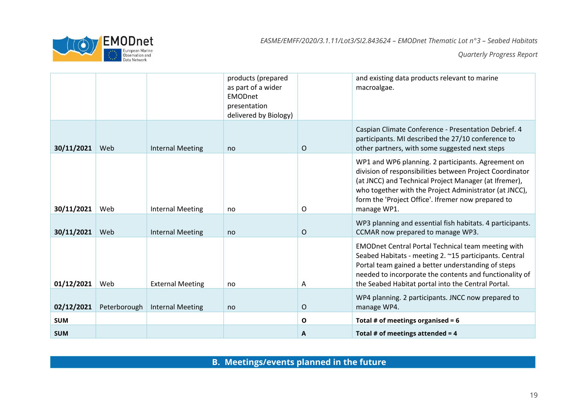

|            |              |                         | products (prepared<br>as part of a wider<br>EMODnet<br>presentation<br>delivered by Biology) |              | and existing data products relevant to marine<br>macroalgae.                                                                                                                                                                                                                                           |
|------------|--------------|-------------------------|----------------------------------------------------------------------------------------------|--------------|--------------------------------------------------------------------------------------------------------------------------------------------------------------------------------------------------------------------------------------------------------------------------------------------------------|
| 30/11/2021 | Web          | <b>Internal Meeting</b> | no                                                                                           | $\mathsf{O}$ | Caspian Climate Conference - Presentation Debrief. 4<br>participants. MI described the 27/10 conference to<br>other partners, with some suggested next steps                                                                                                                                           |
| 30/11/2021 | Web          | <b>Internal Meeting</b> | no                                                                                           | 0            | WP1 and WP6 planning. 2 participants. Agreement on<br>division of responsibilities between Project Coordinator<br>(at JNCC) and Technical Project Manager (at Ifremer),<br>who together with the Project Administrator (at JNCC),<br>form the 'Project Office'. Ifremer now prepared to<br>manage WP1. |
| 30/11/2021 | Web          | <b>Internal Meeting</b> | no                                                                                           | $\mathsf{O}$ | WP3 planning and essential fish habitats. 4 participants.<br>CCMAR now prepared to manage WP3.                                                                                                                                                                                                         |
| 01/12/2021 | Web          | <b>External Meeting</b> | no                                                                                           | A            | <b>EMODnet Central Portal Technical team meeting with</b><br>Seabed Habitats - meeting 2. ~15 participants. Central<br>Portal team gained a better understanding of steps<br>needed to incorporate the contents and functionality of<br>the Seabed Habitat portal into the Central Portal.             |
| 02/12/2021 | Peterborough | <b>Internal Meeting</b> | no                                                                                           | $\mathsf{O}$ | WP4 planning. 2 participants. JNCC now prepared to<br>manage WP4.                                                                                                                                                                                                                                      |
| <b>SUM</b> |              |                         |                                                                                              | $\mathbf{o}$ | Total # of meetings organised = $6$                                                                                                                                                                                                                                                                    |
| <b>SUM</b> |              |                         |                                                                                              | A            | Total # of meetings attended = $4$                                                                                                                                                                                                                                                                     |

**B. Meetings/events planned in the future**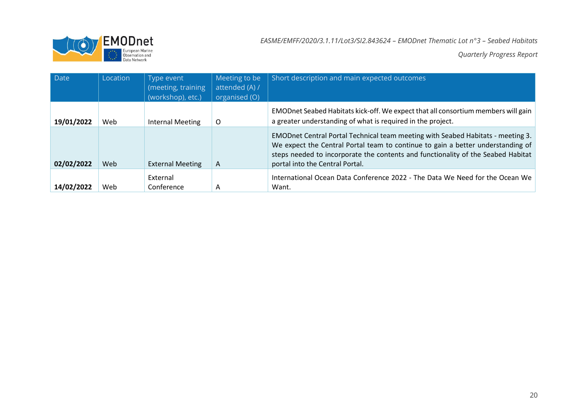

| Date       | Location | Type event<br>(meeting, training<br>(workshop), etc.) | Meeting to be<br>attended (A) /<br>organised (O) | Short description and main expected outcomes                                                                                                                                                                                                                                              |
|------------|----------|-------------------------------------------------------|--------------------------------------------------|-------------------------------------------------------------------------------------------------------------------------------------------------------------------------------------------------------------------------------------------------------------------------------------------|
| 19/01/2022 | Web      | Internal Meeting                                      | O                                                | EMODnet Seabed Habitats kick-off. We expect that all consortium members will gain<br>a greater understanding of what is required in the project.                                                                                                                                          |
| 02/02/2022 | Web      | <b>External Meeting</b>                               | A                                                | EMODnet Central Portal Technical team meeting with Seabed Habitats - meeting 3.<br>We expect the Central Portal team to continue to gain a better understanding of<br>steps needed to incorporate the contents and functionality of the Seabed Habitat<br>portal into the Central Portal. |
| 14/02/2022 | Web      | External<br>Conference                                | А                                                | International Ocean Data Conference 2022 - The Data We Need for the Ocean We<br>Want.                                                                                                                                                                                                     |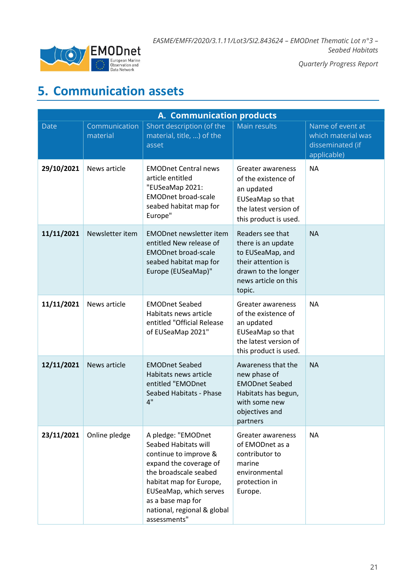

*Quarterly Progress Report*

# <span id="page-20-0"></span>**5. Communication assets**

| <b>A. Communication products</b> |                           |                                                                                                                                                                                                                                                 |                                                                                                                                           |                                                                           |  |  |
|----------------------------------|---------------------------|-------------------------------------------------------------------------------------------------------------------------------------------------------------------------------------------------------------------------------------------------|-------------------------------------------------------------------------------------------------------------------------------------------|---------------------------------------------------------------------------|--|--|
| <b>Date</b>                      | Communication<br>material | Short description (of the<br>material, title, ) of the<br>asset                                                                                                                                                                                 | Main results                                                                                                                              | Name of event at<br>which material was<br>disseminated (if<br>applicable) |  |  |
| 29/10/2021                       | News article              | <b>EMODnet Central news</b><br>article entitled<br>"EUSeaMap 2021:<br><b>EMODnet broad-scale</b><br>seabed habitat map for<br>Europe"                                                                                                           | Greater awareness<br>of the existence of<br>an updated<br>EUSeaMap so that<br>the latest version of<br>this product is used.              | <b>NA</b>                                                                 |  |  |
| 11/11/2021                       | Newsletter item           | <b>EMODnet newsletter item</b><br>entitled New release of<br><b>EMODnet broad-scale</b><br>seabed habitat map for<br>Europe (EUSeaMap)"                                                                                                         | Readers see that<br>there is an update<br>to EUSeaMap, and<br>their attention is<br>drawn to the longer<br>news article on this<br>topic. | <b>NA</b>                                                                 |  |  |
| 11/11/2021                       | News article              | <b>EMODnet Seabed</b><br>Habitats news article<br>entitled "Official Release<br>of EUSeaMap 2021"                                                                                                                                               | Greater awareness<br>of the existence of<br>an updated<br>EUSeaMap so that<br>the latest version of<br>this product is used.              | <b>NA</b>                                                                 |  |  |
| 12/11/2021                       | News article              | <b>EMODnet Seabed</b><br>Habitats news article<br>entitled "EMODnet<br>Seabed Habitats - Phase<br>4"                                                                                                                                            | Awareness that the<br>new phase of<br><b>EMODnet Seabed</b><br>Habitats has begun,<br>with some new<br>objectives and<br>partners         | <b>NA</b>                                                                 |  |  |
| 23/11/2021                       | Online pledge             | A pledge: "EMODnet<br>Seabed Habitats will<br>continue to improve &<br>expand the coverage of<br>the broadscale seabed<br>habitat map for Europe,<br>EUSeaMap, which serves<br>as a base map for<br>national, regional & global<br>assessments" | Greater awareness<br>of EMODnet as a<br>contributor to<br>marine<br>environmental<br>protection in<br>Europe.                             | <b>NA</b>                                                                 |  |  |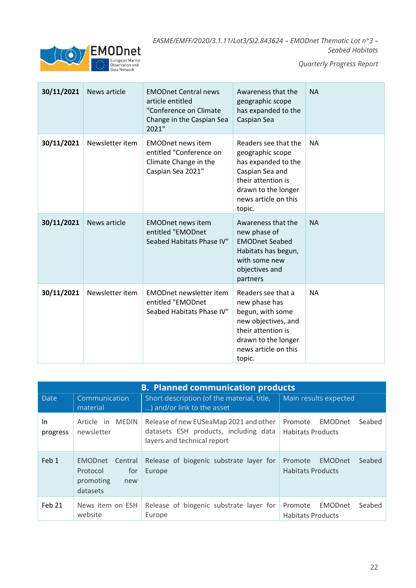

| 30/11/2021 | News article    | <b>EMODnet Central news</b><br>article entitled<br>"Conference on Climate<br>Change in the Caspian Sea<br>2021" | Awareness that the<br>geographic scope<br>has expanded to the<br>Caspian Sea                                                                                      | <b>NA</b> |
|------------|-----------------|-----------------------------------------------------------------------------------------------------------------|-------------------------------------------------------------------------------------------------------------------------------------------------------------------|-----------|
| 30/11/2021 | Newsletter item | <b>EMODnet news item</b><br>entitled "Conference on<br>Climate Change in the<br>Caspian Sea 2021"               | Readers see that the<br>geographic scope<br>has expanded to the<br>Caspian Sea and<br>their attention is<br>drawn to the longer<br>news article on this<br>topic. | <b>NA</b> |
| 30/11/2021 | News article    | <b>EMODnet news item</b><br>entitled "EMODnet<br>Seabed Habitats Phase IV"                                      | Awareness that the<br>new phase of<br><b>EMODnet Seabed</b><br>Habitats has begun,<br>with some new<br>objectives and<br>partners                                 | <b>NA</b> |
| 30/11/2021 | Newsletter item | <b>EMODnet newsletter item</b><br>entitled "EMODnet<br>Seabed Habitats Phase IV"                                | Readers see that a<br>new phase has<br>begun, with some<br>new objectives, and<br>their attention is<br>drawn to the longer<br>news article on this<br>topic.     | <b>NA</b> |

|                 | <b>B. Planned communication products</b>                                     |                                                                                                                |                                                          |  |  |  |  |  |
|-----------------|------------------------------------------------------------------------------|----------------------------------------------------------------------------------------------------------------|----------------------------------------------------------|--|--|--|--|--|
| <b>Date</b>     | Communication<br>material                                                    | Short description (of the material, title,<br>) and/or link to the asset                                       | Main results expected                                    |  |  |  |  |  |
| In.<br>progress | <b>MEDIN</b><br>Article in<br>newsletter                                     | Release of new EUSeaMap 2021 and other<br>datasets ESH products, including data<br>layers and technical report | Seabed<br>EMODnet<br>Promote<br><b>Habitats Products</b> |  |  |  |  |  |
| Feb 1           | <b>EMODnet</b><br>Central<br>Protocol<br>for<br>promoting<br>new<br>datasets | Release of biogenic substrate layer for<br>Europe                                                              | Seabed<br>EMODnet<br>Promote<br><b>Habitats Products</b> |  |  |  |  |  |
| Feb 21          | News item on ESH<br>website                                                  | Release of biogenic substrate layer for<br>Europe                                                              | EMODnet<br>Seabed<br>Promote<br><b>Habitats Products</b> |  |  |  |  |  |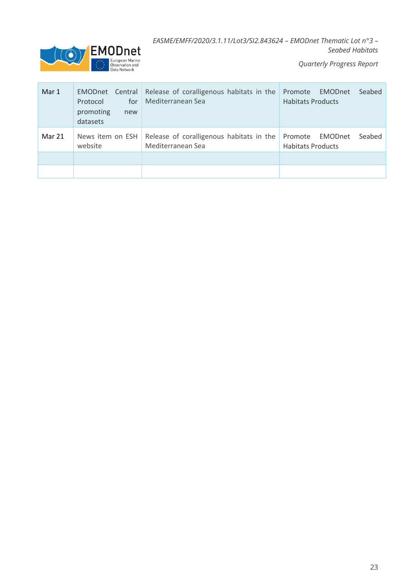

| Mar 1  | EMODnet Central<br>for<br>Protocol<br>promoting<br>new<br>datasets | Release of coralligenous habitats in the<br>Mediterranean Sea | Promote<br>Seabed<br>EMODnet<br><b>Habitats Products</b> |
|--------|--------------------------------------------------------------------|---------------------------------------------------------------|----------------------------------------------------------|
| Mar 21 | News item on ESH<br>website                                        | Release of coralligenous habitats in the<br>Mediterranean Sea | Seabed<br>Promote<br>EMODnet<br><b>Habitats Products</b> |
|        |                                                                    |                                                               |                                                          |
|        |                                                                    |                                                               |                                                          |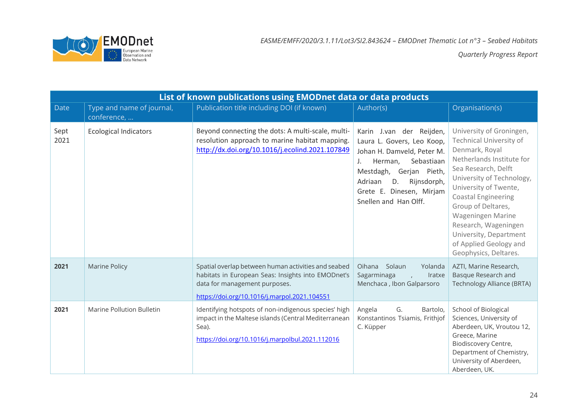

| List of known publications using EMODnet data or data products |                                          |                                                                                                                                                                                            |                                                                                                                                                                                                                                     |                                                                                                                                                                                                                                                                                                                                                                             |  |  |
|----------------------------------------------------------------|------------------------------------------|--------------------------------------------------------------------------------------------------------------------------------------------------------------------------------------------|-------------------------------------------------------------------------------------------------------------------------------------------------------------------------------------------------------------------------------------|-----------------------------------------------------------------------------------------------------------------------------------------------------------------------------------------------------------------------------------------------------------------------------------------------------------------------------------------------------------------------------|--|--|
| <b>Date</b>                                                    | Type and name of journal,<br>conference, | Publication title including DOI (if known)                                                                                                                                                 | Author(s)                                                                                                                                                                                                                           | Organisation(s)                                                                                                                                                                                                                                                                                                                                                             |  |  |
| Sept<br>2021                                                   | <b>Ecological Indicators</b>             | Beyond connecting the dots: A multi-scale, multi-<br>resolution approach to marine habitat mapping.<br>http://dx.doi.org/10.1016/j.ecolind.2021.107849                                     | Karin J.van der Reijden,<br>Laura L. Govers, Leo Koop,<br>Johan H. Damveld, Peter M.<br>Sebastiaan<br>Herman,<br>J.<br>Mestdagh, Gerjan Pieth,<br>D.<br>Adriaan<br>Rijnsdorph,<br>Grete E. Dinesen, Mirjam<br>Snellen and Han Olff. | University of Groningen,<br><b>Technical University of</b><br>Denmark, Royal<br>Netherlands Institute for<br>Sea Research, Delft<br>University of Technology,<br>University of Twente,<br><b>Coastal Engineering</b><br>Group of Deltares,<br><b>Wageningen Marine</b><br>Research, Wageningen<br>University, Department<br>of Applied Geology and<br>Geophysics, Deltares. |  |  |
| 2021                                                           | Marine Policy                            | Spatial overlap between human activities and seabed<br>habitats in European Seas: Insights into EMODnet's<br>data for management purposes.<br>https://doi.org/10.1016/j.marpol.2021.104551 | Oihana Solaun<br>Yolanda<br>Sagarminaga<br>Iratxe<br>Menchaca, Ibon Galparsoro                                                                                                                                                      | AZTI, Marine Research,<br>Basque Research and<br>Technology Alliance (BRTA)                                                                                                                                                                                                                                                                                                 |  |  |
| 2021                                                           | Marine Pollution Bulletin                | Identifying hotspots of non-indigenous species' high<br>impact in the Maltese islands (Central Mediterranean<br>Sea).<br>https://doi.org/10.1016/j.marpolbul.2021.112016                   | Angela<br>G.<br>Bartolo,<br>Konstantinos Tsiamis, Frithjof<br>C. Küpper                                                                                                                                                             | School of Biological<br>Sciences, University of<br>Aberdeen, UK, Vroutou 12,<br>Greece, Marine<br>Biodiscovery Centre,<br>Department of Chemistry,<br>University of Aberdeen,<br>Aberdeen, UK.                                                                                                                                                                              |  |  |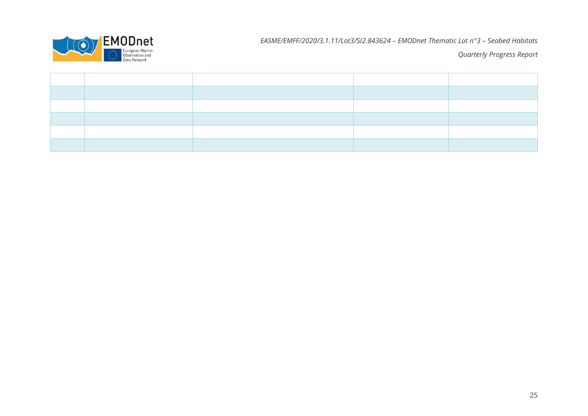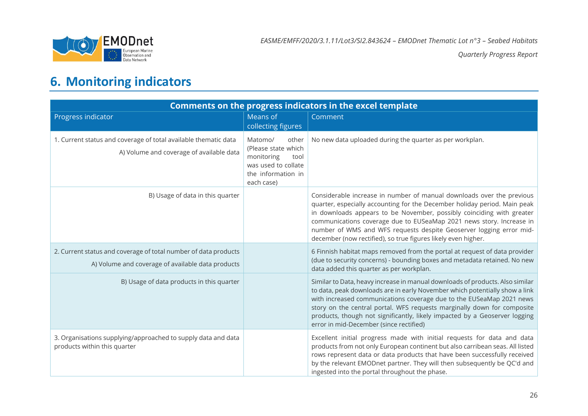

# **6. Monitoring indicators**

<span id="page-25-0"></span>

| <b>Comments on the progress indicators in the excel template</b>                                                     |                                                                                                                          |                                                                                                                                                                                                                                                                                                                                                                                                                                             |  |  |  |
|----------------------------------------------------------------------------------------------------------------------|--------------------------------------------------------------------------------------------------------------------------|---------------------------------------------------------------------------------------------------------------------------------------------------------------------------------------------------------------------------------------------------------------------------------------------------------------------------------------------------------------------------------------------------------------------------------------------|--|--|--|
| Progress indicator                                                                                                   | Means of<br>collecting figures                                                                                           | Comment                                                                                                                                                                                                                                                                                                                                                                                                                                     |  |  |  |
| 1. Current status and coverage of total available thematic data<br>A) Volume and coverage of available data          | Matomo/<br>other<br>(Please state which<br>monitoring<br>tool<br>was used to collate<br>the information in<br>each case) | No new data uploaded during the quarter as per workplan.                                                                                                                                                                                                                                                                                                                                                                                    |  |  |  |
| B) Usage of data in this quarter                                                                                     |                                                                                                                          | Considerable increase in number of manual downloads over the previous<br>quarter, especially accounting for the December holiday period. Main peak<br>in downloads appears to be November, possibly coinciding with greater<br>communications coverage due to EUSeaMap 2021 news story. Increase in<br>number of WMS and WFS requests despite Geoserver logging error mid-<br>december (now rectified), so true figures likely even higher. |  |  |  |
| 2. Current status and coverage of total number of data products<br>A) Volume and coverage of available data products |                                                                                                                          | 6 Finnish habitat maps removed from the portal at request of data provider<br>(due to security concerns) - bounding boxes and metadata retained. No new<br>data added this quarter as per workplan.                                                                                                                                                                                                                                         |  |  |  |
| B) Usage of data products in this quarter                                                                            |                                                                                                                          | Similar to Data, heavy increase in manual downloads of products. Also similar<br>to data, peak downloads are in early November which potentially show a link<br>with increased communications coverage due to the EUSeaMap 2021 news<br>story on the central portal. WFS requests marginally down for composite<br>products, though not significantly, likely impacted by a Geoserver logging<br>error in mid-December (since rectified)    |  |  |  |
| 3. Organisations supplying/approached to supply data and data<br>products within this quarter                        |                                                                                                                          | Excellent initial progress made with initial requests for data and data<br>products from not only European continent but also carribean seas. All listed<br>rows represent data or data products that have been successfully received<br>by the relevant EMODnet partner. They will then subsequently be QC'd and<br>ingested into the portal throughout the phase.                                                                         |  |  |  |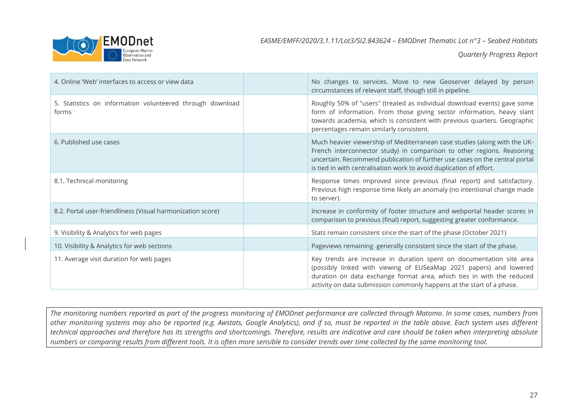

*Quarterly Progress Report*

| 4. Online 'Web' interfaces to access or view data                  | No changes to services. Move to new Geoserver delayed by person<br>circumstances of relevant staff, though still in pipeline.                                                                                                                                                                             |
|--------------------------------------------------------------------|-----------------------------------------------------------------------------------------------------------------------------------------------------------------------------------------------------------------------------------------------------------------------------------------------------------|
| 5. Statistics on information volunteered through download<br>forms | Roughly 50% of "users" (treated as individual download events) gave some<br>form of information. From those giving sector information, heavy slant<br>towards academia, which is consistent with previous quarters. Geographic<br>percentages remain similarly consistent.                                |
| 6. Published use cases                                             | Much heavier viewership of Mediterranean case studies (along with the UK-<br>French interconnector study) in comparison to other regions. Reasoning<br>uncertain. Recommend publication of further use cases on the central portal<br>is tied in with centralisation work to avoid duplication of effort. |
| 8.1. Technical monitoring                                          | Response times improved since previous (final report) and satisfactory.<br>Previous high response time likely an anomaly (no intentional change made<br>to server).                                                                                                                                       |
| 8.2. Portal user-friendliness (Visual harmonization score)         | Increase in conformity of footer structure and webportal header scores in<br>comparison to previous (final) report, suggesting greater conformance.                                                                                                                                                       |
| 9. Visibility & Analytics for web pages                            | Stats remain consistent since the start of the phase (October 2021)                                                                                                                                                                                                                                       |
| 10. Visibility & Analytics for web sections                        | Pageviews remaining -generally consistent since the start of the phase.                                                                                                                                                                                                                                   |
| 11. Average visit duration for web pages                           | Key trends are increase in duration spent on documentation site area<br>(possibly linked with viewing of EUSeaMap 2021 papers) and lowered<br>duration on data exchange format area, which ties in with the reduced<br>activity on data submission commonly happens at the start of a phase.              |

*The monitoring numbers reported as part of the progress monitoring of EMODnet performance are collected through Matomo. In some cases, numbers from other monitoring systems may also be reported (e.g. Awstats, Google Analytics), and if so, must be reported in the table above. Each system uses different technical approaches and therefore has its strengths and shortcomings. Therefore, results are indicative and care should be taken when interpreting absolute numbers or comparing results from different tools. It is often more sensible to consider trends over time collected by the same monitoring tool.*